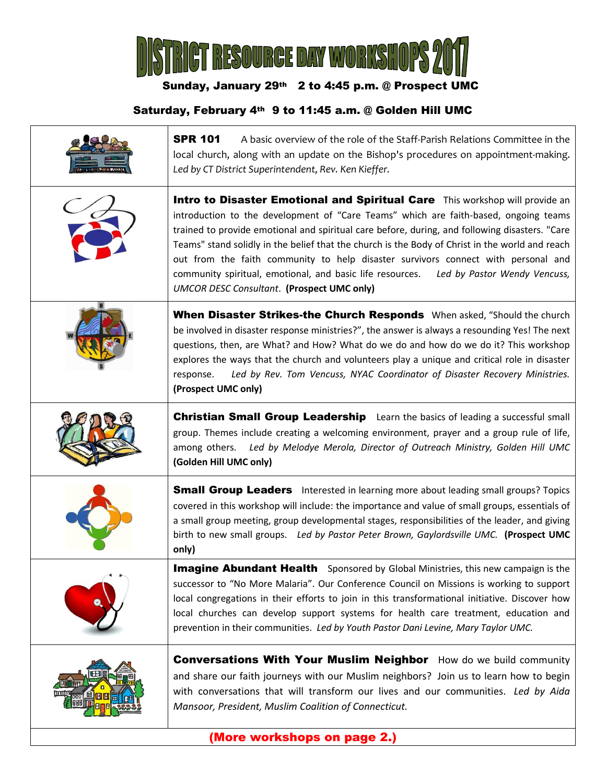

## Sunday, January 29th 2 to 4:45 p.m. @ Prospect UMC

## Saturday, February 4th 9 to 11:45 a.m. @ Golden Hill UMC

| <b>SPR 101</b><br>A basic overview of the role of the Staff-Parish Relations Committee in the<br>local church, along with an update on the Bishop's procedures on appointment-making.<br>Led by CT District Superintendent, Rev. Ken Kieffer.                                                                                                                                                                                                                                                                                                                                                                    |
|------------------------------------------------------------------------------------------------------------------------------------------------------------------------------------------------------------------------------------------------------------------------------------------------------------------------------------------------------------------------------------------------------------------------------------------------------------------------------------------------------------------------------------------------------------------------------------------------------------------|
| Intro to Disaster Emotional and Spiritual Care This workshop will provide an<br>introduction to the development of "Care Teams" which are faith-based, ongoing teams<br>trained to provide emotional and spiritual care before, during, and following disasters. "Care<br>Teams" stand solidly in the belief that the church is the Body of Christ in the world and reach<br>out from the faith community to help disaster survivors connect with personal and<br>community spiritual, emotional, and basic life resources.<br>Led by Pastor Wendy Vencuss,<br><b>UMCOR DESC Consultant. (Prospect UMC only)</b> |
| When Disaster Strikes-the Church Responds When asked, "Should the church<br>be involved in disaster response ministries?", the answer is always a resounding Yes! The next<br>questions, then, are What? and How? What do we do and how do we do it? This workshop<br>explores the ways that the church and volunteers play a unique and critical role in disaster<br>Led by Rev. Tom Vencuss, NYAC Coordinator of Disaster Recovery Ministries.<br>response.<br>(Prospect UMC only)                                                                                                                             |
| <b>Christian Small Group Leadership</b> Learn the basics of leading a successful small<br>group. Themes include creating a welcoming environment, prayer and a group rule of life,<br>among others. Led by Melodye Merola, Director of Outreach Ministry, Golden Hill UMC<br>(Golden Hill UMC only)                                                                                                                                                                                                                                                                                                              |
| <b>Small Group Leaders</b> Interested in learning more about leading small groups? Topics<br>covered in this workshop will include: the importance and value of small groups, essentials of<br>a small group meeting, group developmental stages, responsibilities of the leader, and giving<br>birth to new small groups. Led by Pastor Peter Brown, Gaylordsville UMC. (Prospect UMC<br>only)                                                                                                                                                                                                                  |
| <b>Imagine Abundant Health</b> Sponsored by Global Ministries, this new campaign is the<br>successor to "No More Malaria". Our Conference Council on Missions is working to support<br>local congregations in their efforts to join in this transformational initiative. Discover how<br>local churches can develop support systems for health care treatment, education and<br>prevention in their communities. Led by Youth Pastor Dani Levine, Mary Taylor UMC.                                                                                                                                               |
| <b>Conversations With Your Muslim Neighbor</b> How do we build community<br>and share our faith journeys with our Muslim neighbors? Join us to learn how to begin<br>with conversations that will transform our lives and our communities. Led by Aida<br>Mansoor, President, Muslim Coalition of Connecticut.                                                                                                                                                                                                                                                                                                   |
|                                                                                                                                                                                                                                                                                                                                                                                                                                                                                                                                                                                                                  |

(More workshops on page 2.)